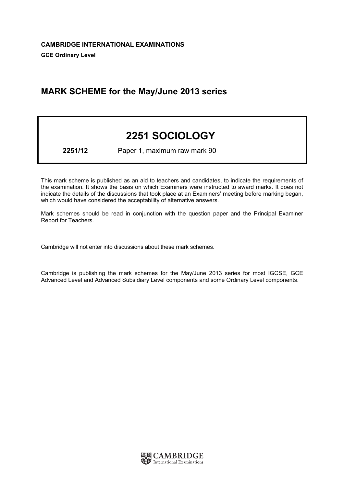# MARK SCHEME for the May/June 2013 series

# 2251 SOCIOLOGY

2251/12 Paper 1, maximum raw mark 90

This mark scheme is published as an aid to teachers and candidates, to indicate the requirements of the examination. It shows the basis on which Examiners were instructed to award marks. It does not indicate the details of the discussions that took place at an Examiners' meeting before marking began, which would have considered the acceptability of alternative answers.

Mark schemes should be read in conjunction with the question paper and the Principal Examiner Report for Teachers.

Cambridge will not enter into discussions about these mark schemes.

Cambridge is publishing the mark schemes for the May/June 2013 series for most IGCSE, GCE Advanced Level and Advanced Subsidiary Level components and some Ordinary Level components.

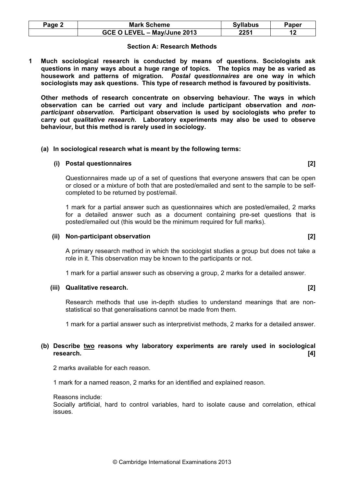| Page 2 | <b>Mark Scheme</b>          | <b>Syllabus</b> | Paper |
|--------|-----------------------------|-----------------|-------|
|        | GCE O LEVEL - May/June 2013 | 2251            |       |

#### Section A: Research Methods

1 Much sociological research is conducted by means of questions. Sociologists ask questions in many ways about a huge range of topics. The topics may be as varied as housework and patterns of migration. Postal questionnaires are one way in which sociologists may ask questions. This type of research method is favoured by positivists.

Other methods of research concentrate on observing behaviour. The ways in which observation can be carried out vary and include participant observation and nonparticipant observation. Participant observation is used by sociologists who prefer to carry out qualitative research. Laboratory experiments may also be used to observe behaviour, but this method is rarely used in sociology.

#### (a) In sociological research what is meant by the following terms:

#### (i) Postal questionnaires [2]

Questionnaires made up of a set of questions that everyone answers that can be open or closed or a mixture of both that are posted/emailed and sent to the sample to be selfcompleted to be returned by post/email.

1 mark for a partial answer such as questionnaires which are posted/emailed, 2 marks for a detailed answer such as a document containing pre-set questions that is posted/emailed out (this would be the minimum required for full marks).

#### (ii) Non-participant observation [2]

A primary research method in which the sociologist studies a group but does not take a role in it. This observation may be known to the participants or not.

1 mark for a partial answer such as observing a group, 2 marks for a detailed answer.

#### (iii) Qualitative research. [2]

Research methods that use in-depth studies to understand meanings that are nonstatistical so that generalisations cannot be made from them.

1 mark for a partial answer such as interpretivist methods, 2 marks for a detailed answer.

# (b) Describe two reasons why laboratory experiments are rarely used in sociological research. [4]

2 marks available for each reason.

1 mark for a named reason, 2 marks for an identified and explained reason.

Reasons include:

Socially artificial, hard to control variables, hard to isolate cause and correlation, ethical issues.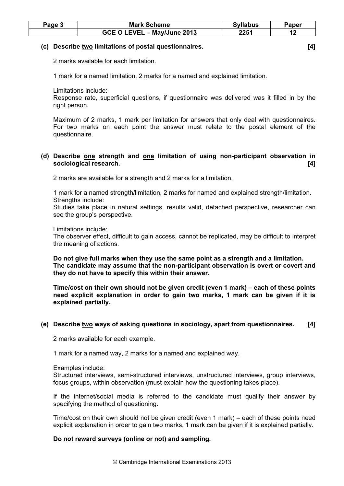| Page 3 | <b>Mark Scheme</b>          | <b>Syllabus</b> | Paper |
|--------|-----------------------------|-----------------|-------|
|        | GCE O LEVEL - May/June 2013 | 2251            |       |

#### (c) Describe two limitations of postal questionnaires. [4]

2 marks available for each limitation.

1 mark for a named limitation, 2 marks for a named and explained limitation.

Limitations include:

Response rate, superficial questions, if questionnaire was delivered was it filled in by the right person.

Maximum of 2 marks, 1 mark per limitation for answers that only deal with questionnaires. For two marks on each point the answer must relate to the postal element of the questionnaire.

# (d) Describe one strength and one limitation of using non-participant observation in sociological research. [4]

2 marks are available for a strength and 2 marks for a limitation.

1 mark for a named strength/limitation, 2 marks for named and explained strength/limitation. Strengths include:

Studies take place in natural settings, results valid, detached perspective, researcher can see the group's perspective.

#### Limitations include:

The observer effect, difficult to gain access, cannot be replicated, may be difficult to interpret the meaning of actions.

Do not give full marks when they use the same point as a strength and a limitation. The candidate may assume that the non-participant observation is overt or covert and they do not have to specify this within their answer.

Time/cost on their own should not be given credit (even 1 mark) – each of these points need explicit explanation in order to gain two marks, 1 mark can be given if it is explained partially.

# (e) Describe two ways of asking questions in sociology, apart from questionnaires. [4]

2 marks available for each example.

1 mark for a named way, 2 marks for a named and explained way.

Examples include:

Structured interviews, semi-structured interviews, unstructured interviews, group interviews, focus groups, within observation (must explain how the questioning takes place).

If the internet/social media is referred to the candidate must qualify their answer by specifying the method of questioning.

Time/cost on their own should not be given credit (even 1 mark) – each of these points need explicit explanation in order to gain two marks, 1 mark can be given if it is explained partially.

# Do not reward surveys (online or not) and sampling.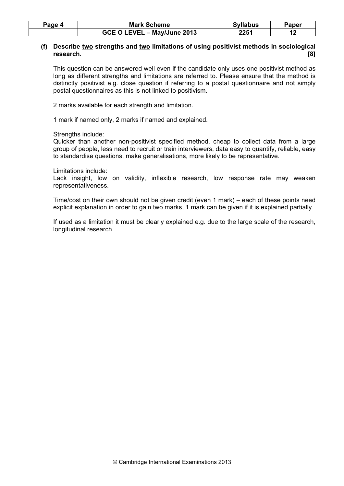| Page 4 | <b>Mark Scheme</b>          | <b>Syllabus</b> | Paper |
|--------|-----------------------------|-----------------|-------|
|        | GCE O LEVEL - May/June 2013 | 2251            |       |

# (f) Describe two strengths and two limitations of using positivist methods in sociological research. [8]

This question can be answered well even if the candidate only uses one positivist method as long as different strengths and limitations are referred to. Please ensure that the method is distinctly positivist e.g. close question if referring to a postal questionnaire and not simply postal questionnaires as this is not linked to positivism.

2 marks available for each strength and limitation.

1 mark if named only, 2 marks if named and explained.

Strengths include:

Quicker than another non-positivist specified method, cheap to collect data from a large group of people, less need to recruit or train interviewers, data easy to quantify, reliable, easy to standardise questions, make generalisations, more likely to be representative.

Limitations include:

Lack insight, low on validity, inflexible research, low response rate may weaken representativeness.

Time/cost on their own should not be given credit (even 1 mark) – each of these points need explicit explanation in order to gain two marks, 1 mark can be given if it is explained partially.

If used as a limitation it must be clearly explained e.g. due to the large scale of the research, longitudinal research.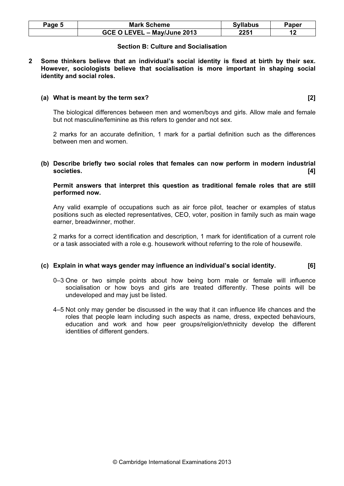| Page 5 | <b>Mark Scheme</b>          | <b>Syllabus</b> | Paper |
|--------|-----------------------------|-----------------|-------|
|        | GCE O LEVEL - May/June 2013 | 2251            |       |

#### Section B: Culture and Socialisation

2 Some thinkers believe that an individual's social identity is fixed at birth by their sex. However, sociologists believe that socialisation is more important in shaping social identity and social roles.

#### (a) What is meant by the term sex? [2]

The biological differences between men and women/boys and girls. Allow male and female but not masculine/feminine as this refers to gender and not sex.

2 marks for an accurate definition, 1 mark for a partial definition such as the differences between men and women.

(b) Describe briefly two social roles that females can now perform in modern industrial societies. [4]

#### Permit answers that interpret this question as traditional female roles that are still performed now.

Any valid example of occupations such as air force pilot, teacher or examples of status positions such as elected representatives, CEO, voter, position in family such as main wage earner, breadwinner, mother.

2 marks for a correct identification and description, 1 mark for identification of a current role or a task associated with a role e.g. housework without referring to the role of housewife.

#### (c) Explain in what ways gender may influence an individual's social identity. [6]

- 0–3 One or two simple points about how being born male or female will influence socialisation or how boys and girls are treated differently. These points will be undeveloped and may just be listed.
- 4–5 Not only may gender be discussed in the way that it can influence life chances and the roles that people learn including such aspects as name, dress, expected behaviours, education and work and how peer groups/religion/ethnicity develop the different identities of different genders.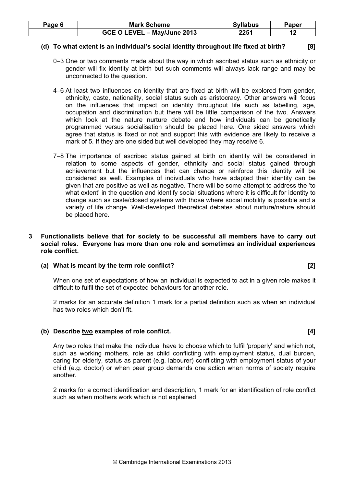| Page 6 | <b>Mark Scheme</b>                             | <b>Syllabus</b> | Paper |
|--------|------------------------------------------------|-----------------|-------|
|        | <b>GCE O LEVEL</b><br><b>- - May/June 2013</b> | 2251            |       |

#### (d) To what extent is an individual's social identity throughout life fixed at birth? [8]

- 0–3 One or two comments made about the way in which ascribed status such as ethnicity or gender will fix identity at birth but such comments will always lack range and may be unconnected to the question.
- 4–6 At least two influences on identity that are fixed at birth will be explored from gender, ethnicity, caste, nationality, social status such as aristocracy. Other answers will focus on the influences that impact on identity throughout life such as labelling, age, occupation and discrimination but there will be little comparison of the two. Answers which look at the nature nurture debate and how individuals can be genetically programmed versus socialisation should be placed here. One sided answers which agree that status is fixed or not and support this with evidence are likely to receive a mark of 5. If they are one sided but well developed they may receive 6.
- 7–8 The importance of ascribed status gained at birth on identity will be considered in relation to some aspects of gender, ethnicity and social status gained through achievement but the influences that can change or reinforce this identity will be considered as well. Examples of individuals who have adapted their identity can be given that are positive as well as negative. There will be some attempt to address the 'to what extent' in the question and identify social situations where it is difficult for identity to change such as caste/closed systems with those where social mobility is possible and a variety of life change. Well-developed theoretical debates about nurture/nature should be placed here.

#### 3 Functionalists believe that for society to be successful all members have to carry out social roles. Everyone has more than one role and sometimes an individual experiences role conflict.

#### (a) What is meant by the term role conflict? [2]

When one set of expectations of how an individual is expected to act in a given role makes it difficult to fulfil the set of expected behaviours for another role.

2 marks for an accurate definition 1 mark for a partial definition such as when an individual has two roles which don't fit.

# (b) Describe two examples of role conflict. [4]

Any two roles that make the individual have to choose which to fulfil 'properly' and which not, such as working mothers, role as child conflicting with employment status, dual burden, caring for elderly, status as parent (e.g. labourer) conflicting with employment status of your child (e.g. doctor) or when peer group demands one action when norms of society require another.

2 marks for a correct identification and description, 1 mark for an identification of role conflict such as when mothers work which is not explained.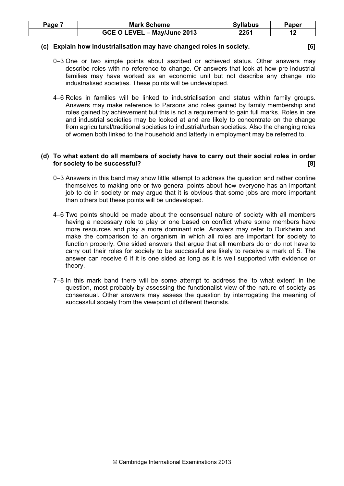| Page | <b>Mark Scheme</b>                      | <b>Syllabus</b> | Paper |
|------|-----------------------------------------|-----------------|-------|
|      | L – May/June 2013<br><b>GCE O LEVEL</b> | 2251            |       |

#### (c) Explain how industrialisation may have changed roles in society. [6]

- 0–3 One or two simple points about ascribed or achieved status. Other answers may describe roles with no reference to change. Or answers that look at how pre-industrial families may have worked as an economic unit but not describe any change into industrialised societies. These points will be undeveloped.
- 4–6 Roles in families will be linked to industrialisation and status within family groups. Answers may make reference to Parsons and roles gained by family membership and roles gained by achievement but this is not a requirement to gain full marks. Roles in pre and industrial societies may be looked at and are likely to concentrate on the change from agricultural/traditional societies to industrial/urban societies. Also the changing roles of women both linked to the household and latterly in employment may be referred to.

# (d) To what extent do all members of society have to carry out their social roles in order for society to be successful? [8]

- 0–3 Answers in this band may show little attempt to address the question and rather confine themselves to making one or two general points about how everyone has an important job to do in society or may argue that it is obvious that some jobs are more important than others but these points will be undeveloped.
- 4–6 Two points should be made about the consensual nature of society with all members having a necessary role to play or one based on conflict where some members have more resources and play a more dominant role. Answers may refer to Durkheim and make the comparison to an organism in which all roles are important for society to function properly. One sided answers that argue that all members do or do not have to carry out their roles for society to be successful are likely to receive a mark of 5. The answer can receive 6 if it is one sided as long as it is well supported with evidence or theory.
- 7–8 In this mark band there will be some attempt to address the 'to what extent' in the question, most probably by assessing the functionalist view of the nature of society as consensual. Other answers may assess the question by interrogating the meaning of successful society from the viewpoint of different theorists.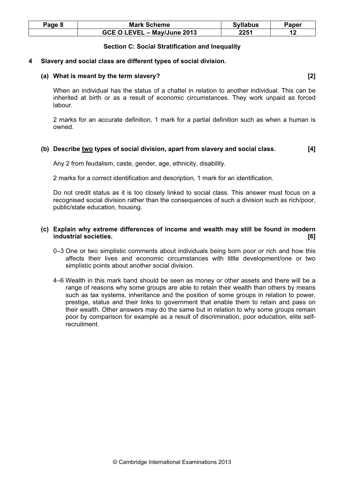| Page 8 | <b>Mark Scheme</b>          | <b>Syllabus</b> | Paper |
|--------|-----------------------------|-----------------|-------|
|        | GCE O LEVEL - May/June 2013 | 2251            |       |

# Section C: Social Stratification and Inequality

#### 4 Slavery and social class are different types of social division.

#### (a) What is meant by the term slavery? [2]

When an individual has the status of a chattel in relation to another individual. This can be inherited at birth or as a result of economic circumstances. They work unpaid as forced labour.

2 marks for an accurate definition, 1 mark for a partial definition such as when a human is owned.

# (b) Describe two types of social division, apart from slavery and social class. [4]

Any 2 from feudalism, caste, gender, age, ethnicity, disability.

2 marks for a correct identification and description, 1 mark for an identification.

Do not credit status as it is too closely linked to social class. This answer must focus on a recognised social division rather than the consequences of such a division such as rich/poor, public/state education, housing.

# (c) Explain why extreme differences of income and wealth may still be found in modern industrial societies. [6]

- 0–3 One or two simplistic comments about individuals being born poor or rich and how this affects their lives and economic circumstances with little development/one or two simplistic points about another social division.
- 4–6 Wealth in this mark band should be seen as money or other assets and there will be a range of reasons why some groups are able to retain their wealth than others by means such as tax systems, inheritance and the position of some groups in relation to power, prestige, status and their links to government that enable them to retain and pass on their wealth. Other answers may do the same but in relation to why some groups remain poor by comparison for example as a result of discrimination, poor education, elite selfrecruitment.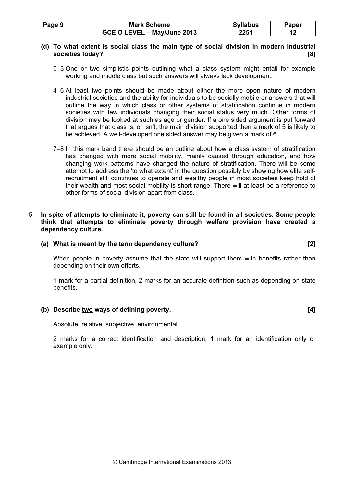| Page 9 | <b>Mark Scheme</b>          | <b>Syllabus</b> | Paper |
|--------|-----------------------------|-----------------|-------|
|        | GCE O LEVEL - May/June 2013 | 2251            |       |

# (d) To what extent is social class the main type of social division in modern industrial societies today? [8]

- 0–3 One or two simplistic points outlining what a class system might entail for example working and middle class but such answers will always lack development.
- 4–6 At least two points should be made about either the more open nature of modern industrial societies and the ability for individuals to be socially mobile or answers that will outline the way in which class or other systems of stratification continue in modern societies with few individuals changing their social status very much. Other forms of division may be looked at such as age or gender. If a one sided argument is put forward that argues that class is, or isn't, the main division supported then a mark of 5 is likely to be achieved. A well-developed one sided answer may be given a mark of 6.
- 7–8 In this mark band there should be an outline about how a class system of stratification has changed with more social mobility, mainly caused through education, and how changing work patterns have changed the nature of stratification. There will be some attempt to address the 'to what extent' in the question possibly by showing how elite selfrecruitment still continues to operate and wealthy people in most societies keep hold of their wealth and most social mobility is short range. There will at least be a reference to other forms of social division apart from class.

# 5 In spite of attempts to eliminate it, poverty can still be found in all societies. Some people think that attempts to eliminate poverty through welfare provision have created a dependency culture.

#### (a) What is meant by the term dependency culture? [2]

When people in poverty assume that the state will support them with benefits rather than depending on their own efforts.

1 mark for a partial definition, 2 marks for an accurate definition such as depending on state benefits.

# (b) Describe two ways of defining poverty. (a) in the set of the set of the set of the set of the set of the set of the set of the set of the set of the set of the set of the set of the set of the set of the set of the set

Absolute, relative, subjective, environmental.

2 marks for a correct identification and description, 1 mark for an identification only or example only.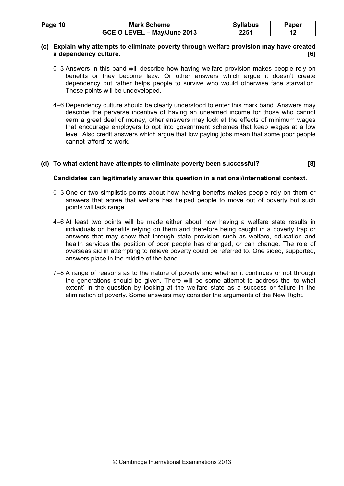| Page 10 | <b>Mark Scheme</b>          | <b>Syllabus</b> | Paper |
|---------|-----------------------------|-----------------|-------|
|         | GCE O LEVEL - May/June 2013 | 2251            |       |

# (c) Explain why attempts to eliminate poverty through welfare provision may have created a dependency culture. [6]

- 0–3 Answers in this band will describe how having welfare provision makes people rely on benefits or they become lazy. Or other answers which argue it doesn't create dependency but rather helps people to survive who would otherwise face starvation. These points will be undeveloped.
- 4–6 Dependency culture should be clearly understood to enter this mark band. Answers may describe the perverse incentive of having an unearned income for those who cannot earn a great deal of money, other answers may look at the effects of minimum wages that encourage employers to opt into government schemes that keep wages at a low level. Also credit answers which argue that low paying jobs mean that some poor people cannot 'afford' to work.

# (d) To what extent have attempts to eliminate poverty been successful? [8]

# Candidates can legitimately answer this question in a national/international context.

- 0–3 One or two simplistic points about how having benefits makes people rely on them or answers that agree that welfare has helped people to move out of poverty but such points will lack range.
- 4–6 At least two points will be made either about how having a welfare state results in individuals on benefits relying on them and therefore being caught in a poverty trap or answers that may show that through state provision such as welfare, education and health services the position of poor people has changed, or can change. The role of overseas aid in attempting to relieve poverty could be referred to. One sided, supported, answers place in the middle of the band.
- 7–8 A range of reasons as to the nature of poverty and whether it continues or not through the generations should be given. There will be some attempt to address the 'to what extent' in the question by looking at the welfare state as a success or failure in the elimination of poverty. Some answers may consider the arguments of the New Right.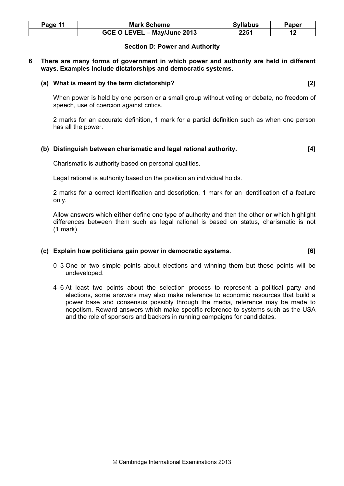| Page 11 | <b>Mark Scheme</b>          | <b>Syllabus</b> | Paper |
|---------|-----------------------------|-----------------|-------|
|         | GCE O LEVEL - May/June 2013 | 2251            |       |

# Section D: Power and Authority

#### 6 There are many forms of government in which power and authority are held in different ways. Examples include dictatorships and democratic systems.

#### (a) What is meant by the term dictatorship? [2]

When power is held by one person or a small group without voting or debate, no freedom of speech, use of coercion against critics.

2 marks for an accurate definition, 1 mark for a partial definition such as when one person has all the power.

# (b) Distinguish between charismatic and legal rational authority. [4]

Charismatic is authority based on personal qualities.

Legal rational is authority based on the position an individual holds.

2 marks for a correct identification and description, 1 mark for an identification of a feature only.

Allow answers which either define one type of authority and then the other or which highlight differences between them such as legal rational is based on status, charismatic is not (1 mark).

#### (c) Explain how politicians gain power in democratic systems. [6]

- 0–3 One or two simple points about elections and winning them but these points will be undeveloped.
- 4–6 At least two points about the selection process to represent a political party and elections, some answers may also make reference to economic resources that build a power base and consensus possibly through the media, reference may be made to nepotism. Reward answers which make specific reference to systems such as the USA and the role of sponsors and backers in running campaigns for candidates.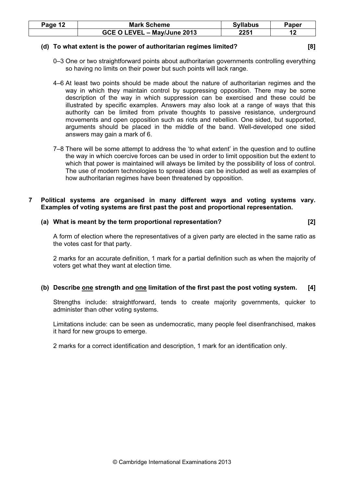| Page <sup>1</sup> | <b>Mark Scheme</b>          | <b>Syllabus</b> | Paper |
|-------------------|-----------------------------|-----------------|-------|
|                   | GCE O LEVEL - May/June 2013 | 2251            |       |

#### (d) To what extent is the power of authoritarian regimes limited? [8]

- 
- 0–3 One or two straightforward points about authoritarian governments controlling everything so having no limits on their power but such points will lack range.
- 4–6 At least two points should be made about the nature of authoritarian regimes and the way in which they maintain control by suppressing opposition. There may be some description of the way in which suppression can be exercised and these could be illustrated by specific examples. Answers may also look at a range of ways that this authority can be limited from private thoughts to passive resistance, underground movements and open opposition such as riots and rebellion. One sided, but supported, arguments should be placed in the middle of the band. Well-developed one sided answers may gain a mark of 6.
- 7–8 There will be some attempt to address the 'to what extent' in the question and to outline the way in which coercive forces can be used in order to limit opposition but the extent to which that power is maintained will always be limited by the possibility of loss of control. The use of modern technologies to spread ideas can be included as well as examples of how authoritarian regimes have been threatened by opposition.

# 7 Political systems are organised in many different ways and voting systems vary. Examples of voting systems are first past the post and proportional representation.

# (a) What is meant by the term proportional representation? [2]

A form of election where the representatives of a given party are elected in the same ratio as the votes cast for that party.

2 marks for an accurate definition, 1 mark for a partial definition such as when the majority of voters get what they want at election time.

# (b) Describe one strength and one limitation of the first past the post voting system. [4]

Strengths include: straightforward, tends to create majority governments, quicker to administer than other voting systems.

Limitations include: can be seen as undemocratic, many people feel disenfranchised, makes it hard for new groups to emerge.

2 marks for a correct identification and description, 1 mark for an identification only.